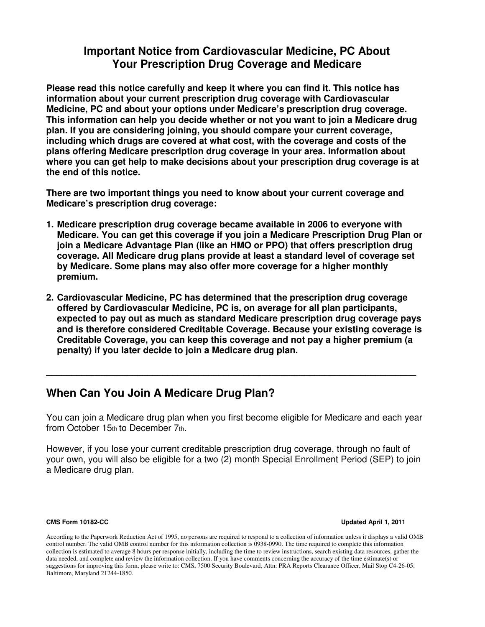#### **Important Notice from Cardiovascular Medicine, PC About Your Prescription Drug Coverage and Medicare**

**Please read this notice carefully and keep it where you can find it. This notice has information about your current prescription drug coverage with Cardiovascular Medicine, PC and about your options under Medicare's prescription drug coverage. This information can help you decide whether or not you want to join a Medicare drug plan. If you are considering joining, you should compare your current coverage, including which drugs are covered at what cost, with the coverage and costs of the plans offering Medicare prescription drug coverage in your area. Information about where you can get help to make decisions about your prescription drug coverage is at the end of this notice.** 

**There are two important things you need to know about your current coverage and Medicare's prescription drug coverage:** 

- **1. Medicare prescription drug coverage became available in 2006 to everyone with Medicare. You can get this coverage if you join a Medicare Prescription Drug Plan or join a Medicare Advantage Plan (like an HMO or PPO) that offers prescription drug coverage. All Medicare drug plans provide at least a standard level of coverage set by Medicare. Some plans may also offer more coverage for a higher monthly premium.**
- **2. Cardiovascular Medicine, PC has determined that the prescription drug coverage offered by Cardiovascular Medicine, PC is, on average for all plan participants, expected to pay out as much as standard Medicare prescription drug coverage pays and is therefore considered Creditable Coverage. Because your existing coverage is Creditable Coverage, you can keep this coverage and not pay a higher premium (a penalty) if you later decide to join a Medicare drug plan.**

**\_\_\_\_\_\_\_\_\_\_\_\_\_\_\_\_\_\_\_\_\_\_\_\_\_\_\_\_\_\_\_\_\_\_\_\_\_\_\_\_\_\_\_\_\_\_\_\_\_\_\_\_\_\_\_\_\_\_\_\_\_\_\_\_\_\_\_\_\_\_\_\_\_** 

#### **When Can You Join A Medicare Drug Plan?**

You can join a Medicare drug plan when you first become eligible for Medicare and each year from October 15th to December 7th.

However, if you lose your current creditable prescription drug coverage, through no fault of your own, you will also be eligible for a two (2) month Special Enrollment Period (SEP) to join a Medicare drug plan.

**CMS Form 10182-CC Updated April 1, 2011** 

According to the Paperwork Reduction Act of 1995, no persons are required to respond to a collection of information unless it displays a valid OMB control number. The valid OMB control number for this information collection is 0938-0990. The time required to complete this information collection is estimated to average 8 hours per response initially, including the time to review instructions, search existing data resources, gather the data needed, and complete and review the information collection. If you have comments concerning the accuracy of the time estimate(s) or suggestions for improving this form, please write to: CMS, 7500 Security Boulevard, Attn: PRA Reports Clearance Officer, Mail Stop C4-26-05, Baltimore, Maryland 21244-1850.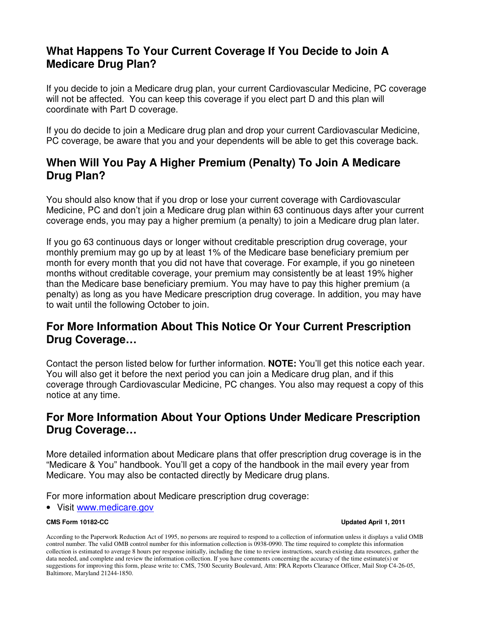## **What Happens To Your Current Coverage If You Decide to Join A Medicare Drug Plan?**

If you decide to join a Medicare drug plan, your current Cardiovascular Medicine, PC coverage will not be affected. You can keep this coverage if you elect part D and this plan will coordinate with Part D coverage.

If you do decide to join a Medicare drug plan and drop your current Cardiovascular Medicine, PC coverage, be aware that you and your dependents will be able to get this coverage back.

## **When Will You Pay A Higher Premium (Penalty) To Join A Medicare Drug Plan?**

You should also know that if you drop or lose your current coverage with Cardiovascular Medicine, PC and don't join a Medicare drug plan within 63 continuous days after your current coverage ends, you may pay a higher premium (a penalty) to join a Medicare drug plan later.

If you go 63 continuous days or longer without creditable prescription drug coverage, your monthly premium may go up by at least 1% of the Medicare base beneficiary premium per month for every month that you did not have that coverage. For example, if you go nineteen months without creditable coverage, your premium may consistently be at least 19% higher than the Medicare base beneficiary premium. You may have to pay this higher premium (a penalty) as long as you have Medicare prescription drug coverage. In addition, you may have to wait until the following October to join.

# **For More Information About This Notice Or Your Current Prescription Drug Coverage…**

Contact the person listed below for further information. **NOTE:** You'll get this notice each year. You will also get it before the next period you can join a Medicare drug plan, and if this coverage through Cardiovascular Medicine, PC changes. You also may request a copy of this notice at any time.

# **For More Information About Your Options Under Medicare Prescription Drug Coverage…**

More detailed information about Medicare plans that offer prescription drug coverage is in the "Medicare & You" handbook. You'll get a copy of the handbook in the mail every year from Medicare. You may also be contacted directly by Medicare drug plans.

For more information about Medicare prescription drug coverage:

• Visit www.medicare.gov

#### **CMS Form 10182-CC Updated April 1, 2011**

According to the Paperwork Reduction Act of 1995, no persons are required to respond to a collection of information unless it displays a valid OMB control number. The valid OMB control number for this information collection is 0938-0990. The time required to complete this information collection is estimated to average 8 hours per response initially, including the time to review instructions, search existing data resources, gather the data needed, and complete and review the information collection. If you have comments concerning the accuracy of the time estimate(s) or suggestions for improving this form, please write to: CMS, 7500 Security Boulevard, Attn: PRA Reports Clearance Officer, Mail Stop C4-26-05, Baltimore, Maryland 21244-1850.